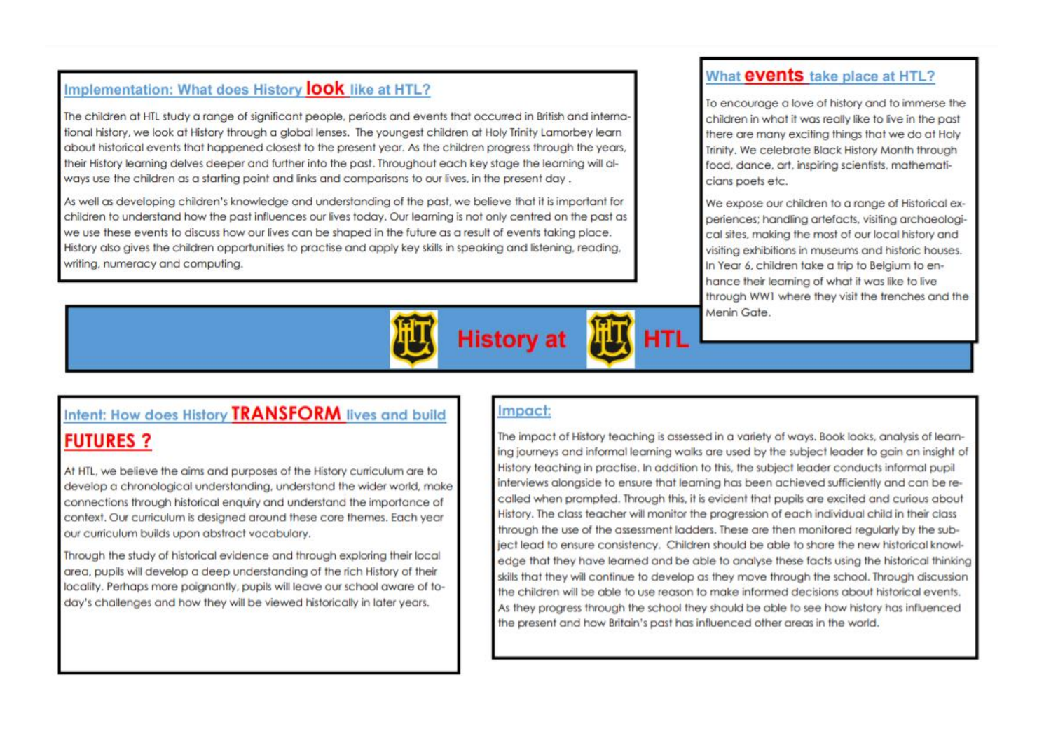# Implementation: What does History **look** like at HTL?

The children at HTL study a range of significant people, periods and events that occurred in British and international history, we look at History through a alobal lenses. The youngest children at Holy Trinity Lamorbey learn about historical events that happened closest to the present year. As the children progress through the years, their History learning delves deeper and further into the past. Throughout each key stage the learning will glways use the children as a starting point and links and comparisons to our lives, in the present day.

As well as developing children's knowledge and understanding of the past, we believe that it is important for children to understand how the past influences our lives today. Our learning is not only centred on the past as we use these events to discuss how our lives can be shaped in the future as a result of events taking place. History also gives the children opportunities to practise and apply key skills in speaking and listening, reading, writing, numeracy and computing.



## What events take place at HTL?

To encourage a love of history and to immerse the children in what it was really like to live in the past there are many exciting things that we do at Holy Trinity, We celebrate Black History Month through food, dance, art, inspiring scientists, mathematicians poets etc.

We expose our children to a range of Historical experiences; handling artefacts, visiting archaeological sites, making the most of our local history and visiting exhibitions in museums and historic houses. In Year 6, children take a trip to Belgium to enhance their learning of what it was like to live through WW1 where they visit the trenches and the Menin Gate.

# Intent: How does History TRANSFORM lives and build **FUTURES ?**

At HTL, we believe the aims and purposes of the History curriculum are to develop a chronological understanding, understand the wider world, make connections through historical enquiry and understand the importance of context. Our curriculum is designed around these core themes. Each year our curriculum builds upon abstract vocabulary.

Through the study of historical evidence and through exploring their local area, pupils will develop a deep understanding of the rich History of their locality. Perhaps more poignantly, pupils will leave our school aware of today's challenges and how they will be viewed historically in later years.

## Impact:

The impact of History teaching is assessed in a variety of ways. Book looks, analysis of learning journeys and informal learning walks are used by the subject leader to gain an insight of History teaching in practise, In addition to this, the subject leader conducts informal pupil interviews alongside to ensure that learning has been achieved sufficiently and can be recalled when prompted. Through this, it is evident that pupils are excited and curious about History. The class teacher will monitor the progression of each individual child in their class through the use of the assessment ladders. These are then monitored regularly by the subject lead to ensure consistency. Children should be able to share the new historical knowledge that they have learned and be able to analyse these facts using the historical thinking skills that they will continue to develop as they move through the school. Through discussion the children will be able to use reason to make informed decisions about historical events. As they progress through the school they should be able to see how history has influenced the present and how Britain's past has influenced other areas in the world.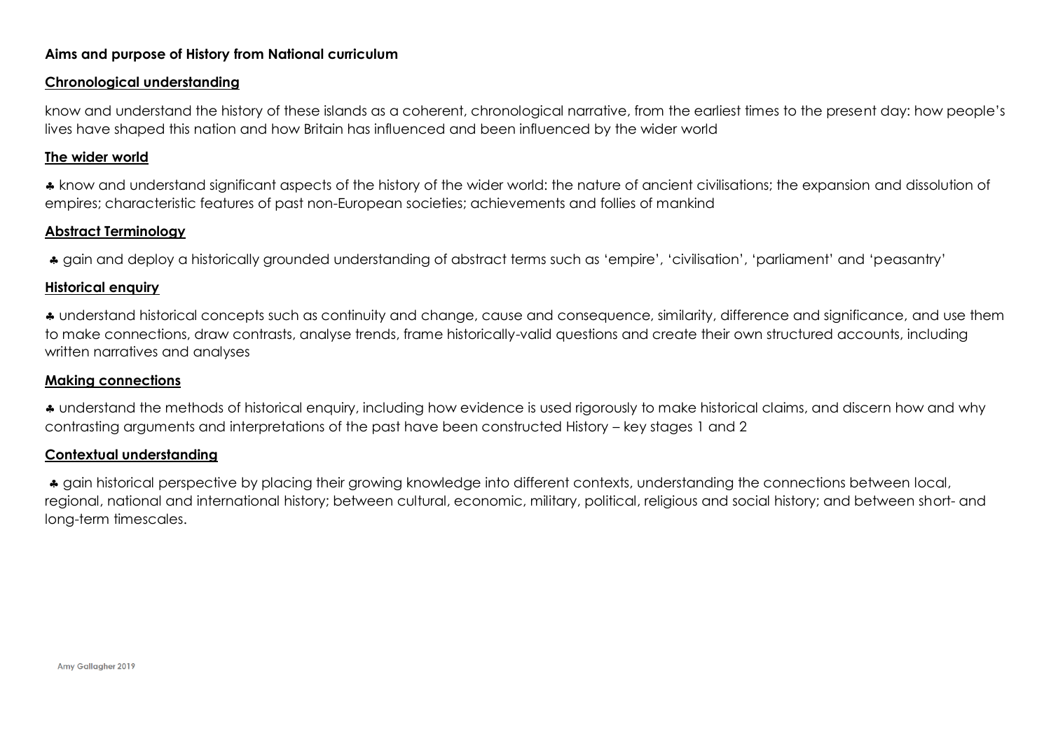### **Aims and purpose of History from National curriculum**

#### **Chronological understanding**

know and understand the history of these islands as a coherent, chronological narrative, from the earliest times to the present day: how people's lives have shaped this nation and how Britain has influenced and been influenced by the wider world

#### **The wider world**

\* know and understand significant aspects of the history of the wider world: the nature of ancient civilisations; the expansion and dissolution of empires; characteristic features of past non-European societies; achievements and follies of mankind

#### **Abstract Terminology**

gain and deploy a historically grounded understanding of abstract terms such as 'empire', 'civilisation', 'parliament' and 'peasantry'

#### **Historical enquiry**

 understand historical concepts such as continuity and change, cause and consequence, similarity, difference and significance, and use them to make connections, draw contrasts, analyse trends, frame historically-valid questions and create their own structured accounts, including written narratives and analyses

#### **Making connections**

 understand the methods of historical enquiry, including how evidence is used rigorously to make historical claims, and discern how and why contrasting arguments and interpretations of the past have been constructed History – key stages 1 and 2

#### **Contextual understanding**

\* gain historical perspective by placing their growing knowledge into different contexts, understanding the connections between local, regional, national and international history; between cultural, economic, military, political, religious and social history; and between short- and long-term timescales.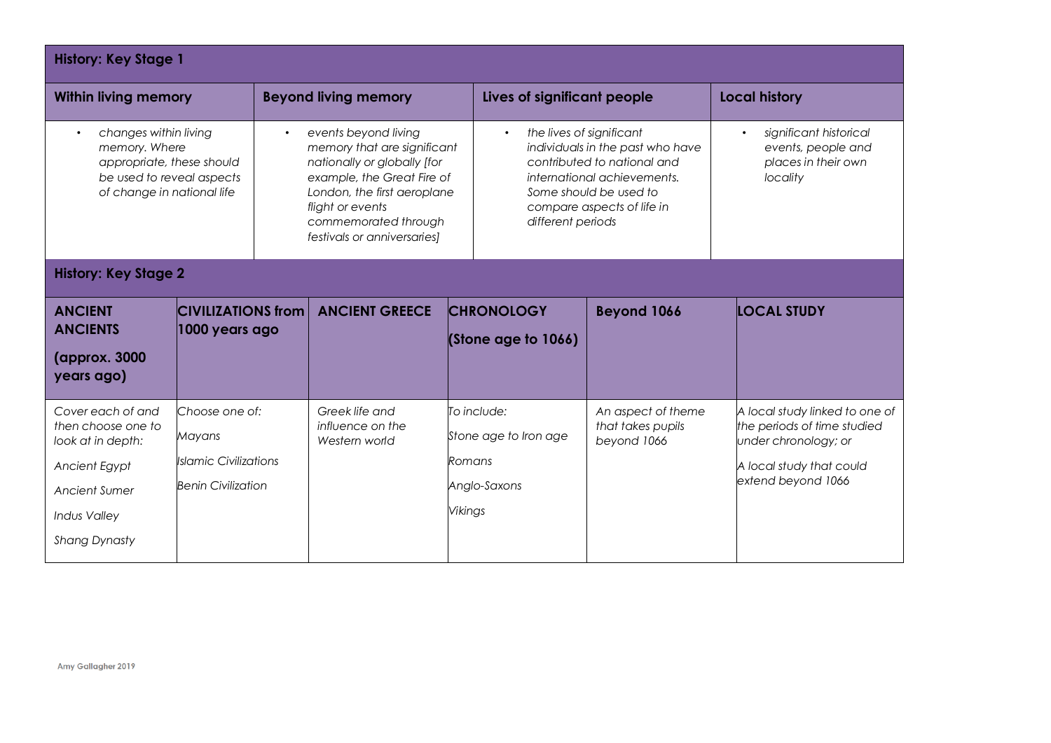| <b>History: Key Stage 1</b>                                                                                                                   |                                                                                       |                                                                                                                                                                                                                                         |                                                     |                                                                                                                                                                                                                      |                                                      |                                                                                 |                                                                                                                                         |
|-----------------------------------------------------------------------------------------------------------------------------------------------|---------------------------------------------------------------------------------------|-----------------------------------------------------------------------------------------------------------------------------------------------------------------------------------------------------------------------------------------|-----------------------------------------------------|----------------------------------------------------------------------------------------------------------------------------------------------------------------------------------------------------------------------|------------------------------------------------------|---------------------------------------------------------------------------------|-----------------------------------------------------------------------------------------------------------------------------------------|
| <b>Within living memory</b>                                                                                                                   |                                                                                       |                                                                                                                                                                                                                                         | <b>Beyond living memory</b>                         |                                                                                                                                                                                                                      | Lives of significant people                          |                                                                                 | <b>Local history</b>                                                                                                                    |
| changes within living<br>memory. Where<br>appropriate, these should<br>be used to reveal aspects<br>of change in national life                |                                                                                       | events beyond living<br>$\bullet$<br>memory that are significant<br>nationally or globally [for<br>example, the Great Fire of<br>London, the first aeroplane<br>flight or events<br>commemorated through<br>festivals or anniversaries] |                                                     | the lives of significant<br>$\bullet$<br>individuals in the past who have<br>contributed to national and<br>international achievements.<br>Some should be used to<br>compare aspects of life in<br>different periods |                                                      | significant historical<br>events, people and<br>places in their own<br>locality |                                                                                                                                         |
| <b>History: Key Stage 2</b>                                                                                                                   |                                                                                       |                                                                                                                                                                                                                                         |                                                     |                                                                                                                                                                                                                      |                                                      |                                                                                 |                                                                                                                                         |
| <b>ANCIENT</b><br><b>ANCIENTS</b><br>(approx. 3000)<br>years ago)                                                                             | <b>CIVILIZATIONS from</b><br>1000 years ago                                           |                                                                                                                                                                                                                                         | <b>ANCIENT GREECE</b>                               |                                                                                                                                                                                                                      | <b>CHRONOLOGY</b><br>(Stone age to 1066)             | <b>Beyond 1066</b>                                                              | <b>LOCAL STUDY</b>                                                                                                                      |
| Cover each of and<br>then choose one to<br>look at in depth:<br>Ancient Egypt<br>Ancient Sumer<br><b>Indus Valley</b><br><b>Shang Dynasty</b> | Choose one of:<br>Mayans<br><b>Islamic Civilizations</b><br><b>Benin Civilization</b> |                                                                                                                                                                                                                                         | Greek life and<br>influence on the<br>Western world | Romans<br>Vikings                                                                                                                                                                                                    | To include:<br>Stone age to Iron age<br>Anglo-Saxons | An aspect of theme<br>that takes pupils<br>beyond 1066                          | A local study linked to one of<br>the periods of time studied<br>under chronology; or<br>A local study that could<br>extend beyond 1066 |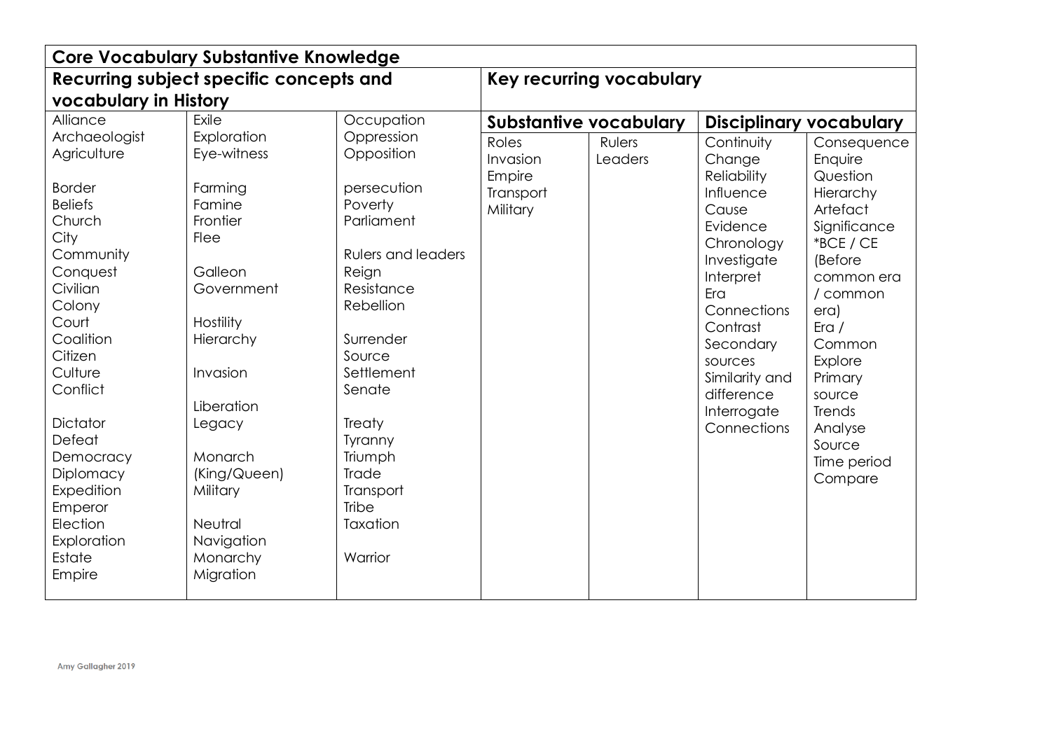| <b>Core Vocabulary Substantive Knowledge</b>                                                                                                                                                                                                                                                                     |                                                                                                                                                                                                                                                            |                                                                                                                                                                                                                                                                               |                                                      |                          |                                                                                                                                                                                                                                                |                                                                                                                                                                                                                                                  |
|------------------------------------------------------------------------------------------------------------------------------------------------------------------------------------------------------------------------------------------------------------------------------------------------------------------|------------------------------------------------------------------------------------------------------------------------------------------------------------------------------------------------------------------------------------------------------------|-------------------------------------------------------------------------------------------------------------------------------------------------------------------------------------------------------------------------------------------------------------------------------|------------------------------------------------------|--------------------------|------------------------------------------------------------------------------------------------------------------------------------------------------------------------------------------------------------------------------------------------|--------------------------------------------------------------------------------------------------------------------------------------------------------------------------------------------------------------------------------------------------|
| Recurring subject specific concepts and                                                                                                                                                                                                                                                                          | Key recurring vocabulary                                                                                                                                                                                                                                   |                                                                                                                                                                                                                                                                               |                                                      |                          |                                                                                                                                                                                                                                                |                                                                                                                                                                                                                                                  |
| vocabulary in History                                                                                                                                                                                                                                                                                            |                                                                                                                                                                                                                                                            |                                                                                                                                                                                                                                                                               |                                                      |                          |                                                                                                                                                                                                                                                |                                                                                                                                                                                                                                                  |
| Alliance                                                                                                                                                                                                                                                                                                         | Exile                                                                                                                                                                                                                                                      | Occupation                                                                                                                                                                                                                                                                    | <b>Substantive vocabulary</b>                        |                          | <b>Disciplinary vocabulary</b>                                                                                                                                                                                                                 |                                                                                                                                                                                                                                                  |
| Archaeologist<br>Agriculture<br><b>Border</b><br><b>Beliefs</b><br>Church<br>City<br>Community<br>Conquest<br>Civilian<br>Colony<br>Court<br>Coalition<br>Citizen<br>Culture<br>Conflict<br>Dictator<br>Defeat<br>Democracy<br>Diplomacy<br>Expedition<br>Emperor<br>Election<br>Exploration<br>Estate<br>Empire | Exploration<br>Eye-witness<br>Farming<br>Famine<br>Frontier<br><b>Flee</b><br>Galleon<br>Government<br>Hostility<br>Hierarchy<br>Invasion<br>Liberation<br>Legacy<br>Monarch<br>(King/Queen)<br>Military<br>Neutral<br>Navigation<br>Monarchy<br>Migration | Oppression<br>Opposition<br>persecution<br>Poverty<br>Parliament<br><b>Rulers and leaders</b><br>Reign<br>Resistance<br>Rebellion<br>Surrender<br>Source<br>Settlement<br>Senate<br>Treaty<br>Tyranny<br>Triumph<br><b>Trade</b><br>Transport<br>Tribe<br>Taxation<br>Warrior | Roles<br>Invasion<br>Empire<br>Transport<br>Military | <b>Rulers</b><br>Leaders | Continuity<br>Change<br><b>Reliability</b><br>Influence<br>Cause<br>Evidence<br>Chronology<br>Investigate<br>Interpret<br>Era<br>Connections<br>Contrast<br>Secondary<br>sources<br>Similarity and<br>difference<br>Interrogate<br>Connections | Consequence<br>Enquire<br>Question<br>Hierarchy<br>Artefact<br>Significance<br>*BCE / CE<br>(Before<br>common era<br>/ common<br>era)<br>Era/<br>Common<br>Explore<br>Primary<br>source<br>Trends<br>Analyse<br>Source<br>Time period<br>Compare |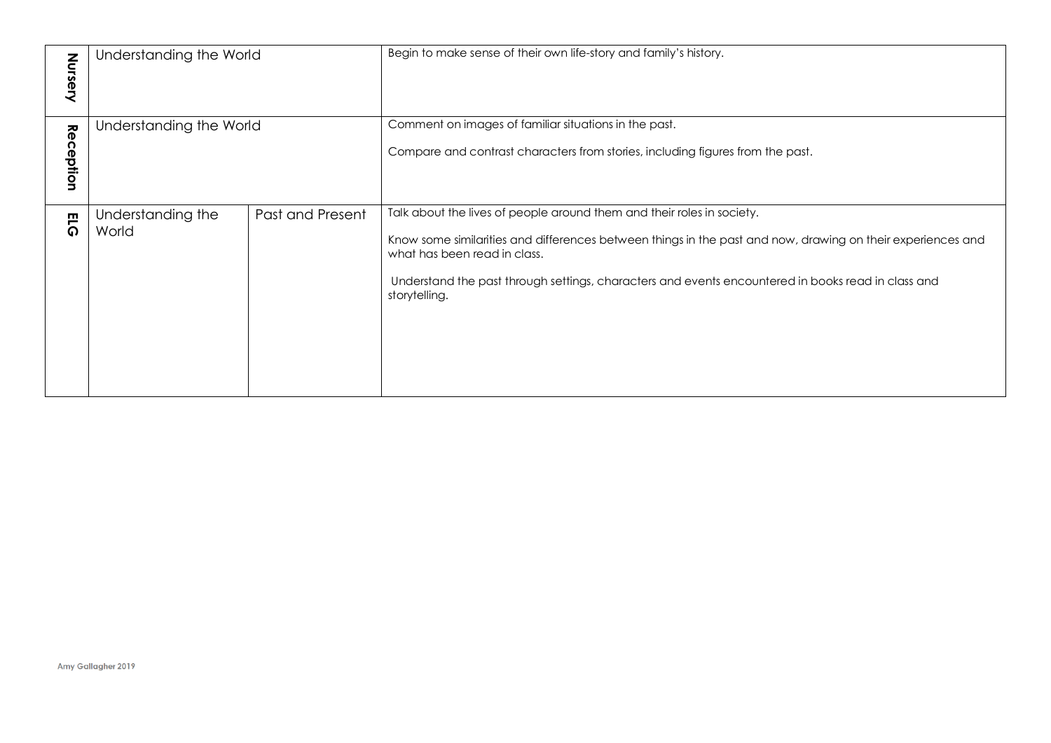| Nursery        | Understanding the World    |                  | Begin to make sense of their own life-story and family's history.                                                                                                                                                                                                                                                                            |
|----------------|----------------------------|------------------|----------------------------------------------------------------------------------------------------------------------------------------------------------------------------------------------------------------------------------------------------------------------------------------------------------------------------------------------|
| Rec<br>eption: | Understanding the World    |                  | Comment on images of familiar situations in the past.<br>Compare and contrast characters from stories, including figures from the past.                                                                                                                                                                                                      |
| <b>ELG</b>     | Understanding the<br>World | Past and Present | Talk about the lives of people around them and their roles in society.<br>Know some similarities and differences between things in the past and now, drawing on their experiences and<br>what has been read in class.<br>Understand the past through settings, characters and events encountered in books read in class and<br>storytelling. |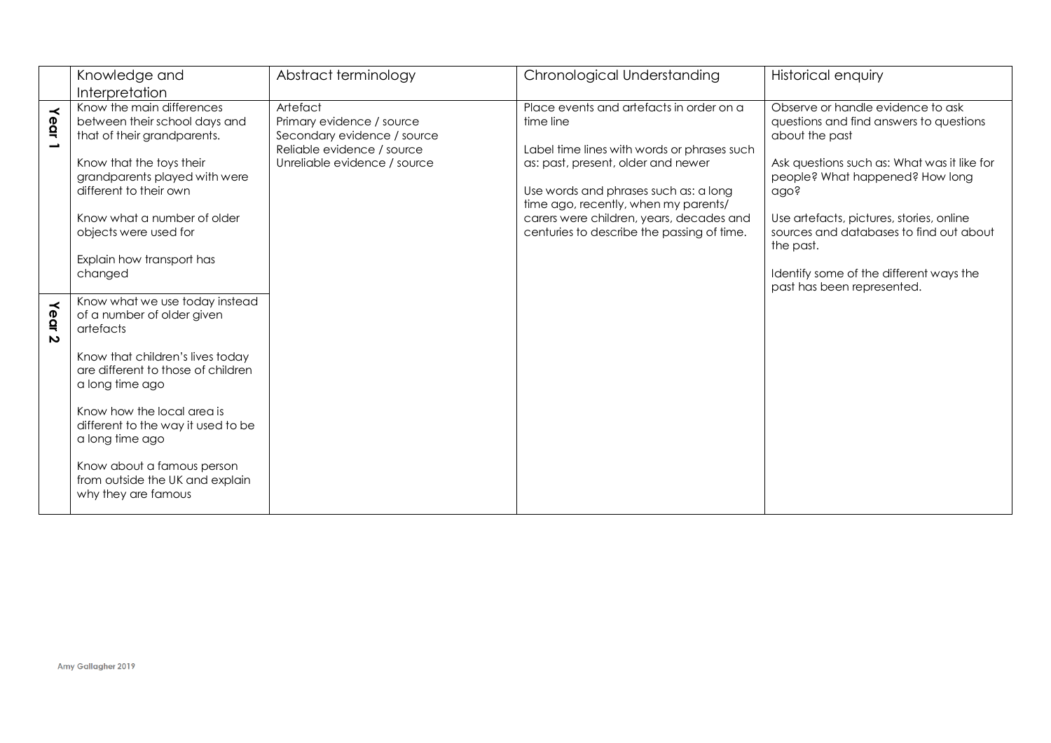|                                         | Knowledge and                                                                                                                                                                                                                                                                                                                                         | Abstract terminology                                                                                                               | Chronological Understanding                                                                                                                                                                                                                                                                                           | Historical enquiry                                                                                                                                                                                                                                                                                                                                                    |
|-----------------------------------------|-------------------------------------------------------------------------------------------------------------------------------------------------------------------------------------------------------------------------------------------------------------------------------------------------------------------------------------------------------|------------------------------------------------------------------------------------------------------------------------------------|-----------------------------------------------------------------------------------------------------------------------------------------------------------------------------------------------------------------------------------------------------------------------------------------------------------------------|-----------------------------------------------------------------------------------------------------------------------------------------------------------------------------------------------------------------------------------------------------------------------------------------------------------------------------------------------------------------------|
|                                         | Interpretation                                                                                                                                                                                                                                                                                                                                        |                                                                                                                                    |                                                                                                                                                                                                                                                                                                                       |                                                                                                                                                                                                                                                                                                                                                                       |
| $\prec$<br>ear<br>$\rightarrow$         | Know the main differences<br>between their school days and<br>that of their grandparents.<br>Know that the toys their<br>grandparents played with were<br>different to their own<br>Know what a number of older<br>objects were used for<br>Explain how transport has<br>changed                                                                      | Artefact<br>Primary evidence / source<br>Secondary evidence / source<br>Reliable evidence / source<br>Unreliable evidence / source | Place events and artefacts in order on a<br>time line<br>Label time lines with words or phrases such<br>as: past, present, older and newer<br>Use words and phrases such as: a long<br>time ago, recently, when my parents/<br>carers were children, years, decades and<br>centuries to describe the passing of time. | Observe or handle evidence to ask<br>questions and find answers to questions<br>about the past<br>Ask questions such as: What was it like for<br>people? What happened? How long<br>ago?<br>Use artefacts, pictures, stories, online<br>sources and databases to find out about<br>the past.<br>Identify some of the different ways the<br>past has been represented. |
| $\prec$<br>egr<br>$\boldsymbol{\omega}$ | Know what we use today instead<br>of a number of older given<br>artefacts<br>Know that children's lives today<br>are different to those of children<br>a long time ago<br>Know how the local area is<br>different to the way it used to be<br>a long time ago<br>Know about a famous person<br>from outside the UK and explain<br>why they are famous |                                                                                                                                    |                                                                                                                                                                                                                                                                                                                       |                                                                                                                                                                                                                                                                                                                                                                       |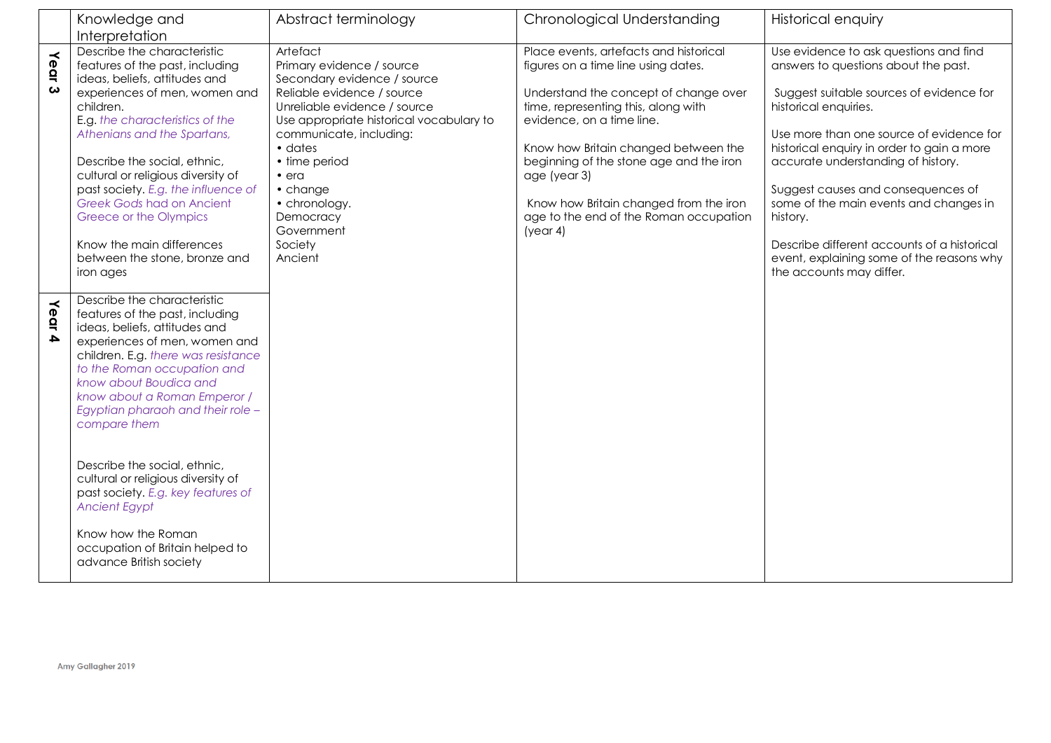|           | Knowledge and                                                                                                                                                                                                                                                                                                                                                                                                                                                                                                                                 | Abstract terminology                                                                                                                                                                                                                                                                                                                         | Chronological Understanding                                                                                                                                                                                                                                                                                                                                                                   | <b>Historical enquiry</b>                                                                                                                                                                                                                                                                                                                                                                                                                                                                               |
|-----------|-----------------------------------------------------------------------------------------------------------------------------------------------------------------------------------------------------------------------------------------------------------------------------------------------------------------------------------------------------------------------------------------------------------------------------------------------------------------------------------------------------------------------------------------------|----------------------------------------------------------------------------------------------------------------------------------------------------------------------------------------------------------------------------------------------------------------------------------------------------------------------------------------------|-----------------------------------------------------------------------------------------------------------------------------------------------------------------------------------------------------------------------------------------------------------------------------------------------------------------------------------------------------------------------------------------------|---------------------------------------------------------------------------------------------------------------------------------------------------------------------------------------------------------------------------------------------------------------------------------------------------------------------------------------------------------------------------------------------------------------------------------------------------------------------------------------------------------|
|           | Interpretation                                                                                                                                                                                                                                                                                                                                                                                                                                                                                                                                |                                                                                                                                                                                                                                                                                                                                              |                                                                                                                                                                                                                                                                                                                                                                                               |                                                                                                                                                                                                                                                                                                                                                                                                                                                                                                         |
| Year<br>ω | Describe the characteristic<br>features of the past, including<br>ideas, beliefs, attitudes and<br>experiences of men, women and<br>children.<br>E.g. the characteristics of the<br>Athenians and the Spartans,<br>Describe the social, ethnic,<br>cultural or religious diversity of<br>past society. E.g. the influence of<br><b>Greek Gods had on Ancient</b><br>Greece or the Olympics<br>Know the main differences<br>between the stone, bronze and<br>iron ages                                                                         | Artefact<br>Primary evidence / source<br>Secondary evidence / source<br>Reliable evidence / source<br>Unreliable evidence / source<br>Use appropriate historical vocabulary to<br>communicate, including:<br>$\bullet$ dates<br>• time period<br>$\bullet$ era<br>• change<br>• chronology.<br>Democracy<br>Government<br>Society<br>Ancient | Place events, artefacts and historical<br>figures on a time line using dates.<br>Understand the concept of change over<br>time, representing this, along with<br>evidence, on a time line.<br>Know how Britain changed between the<br>beginning of the stone age and the iron<br>age (year 3)<br>Know how Britain changed from the iron<br>age to the end of the Roman occupation<br>(year 4) | Use evidence to ask questions and find<br>answers to questions about the past.<br>Suggest suitable sources of evidence for<br>historical enquiries.<br>Use more than one source of evidence for<br>historical enquiry in order to gain a more<br>accurate understanding of history.<br>Suggest causes and consequences of<br>some of the main events and changes in<br>history.<br>Describe different accounts of a historical<br>event, explaining some of the reasons why<br>the accounts may differ. |
| Year 4    | Describe the characteristic<br>features of the past, including<br>ideas, beliefs, attitudes and<br>experiences of men, women and<br>children. E.g. there was resistance<br>to the Roman occupation and<br>know about Boudica and<br>know about a Roman Emperor /<br>Egyptian pharaoh and their role -<br>compare them<br>Describe the social, ethnic,<br>cultural or religious diversity of<br>past society. E.g. key features of<br><b>Ancient Egypt</b><br>Know how the Roman<br>occupation of Britain helped to<br>advance British society |                                                                                                                                                                                                                                                                                                                                              |                                                                                                                                                                                                                                                                                                                                                                                               |                                                                                                                                                                                                                                                                                                                                                                                                                                                                                                         |